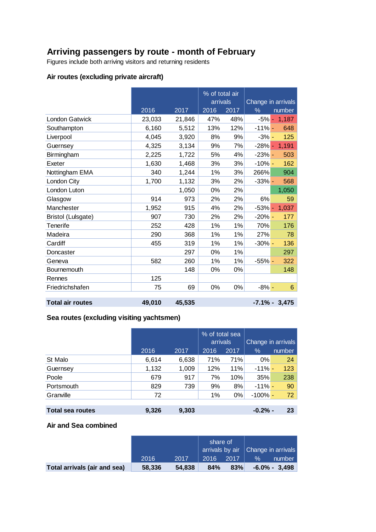# **Arriving passengers by route - month of February**

Figures include both arriving visitors and returning residents

# **Air routes (excluding private aircraft)**

|                         |        |        | % of total air |      |                    |                  |
|-------------------------|--------|--------|----------------|------|--------------------|------------------|
|                         |        |        | arrivals       |      | Change in arrivals |                  |
|                         | 2016   | 2017   | 2016           | 2017 | $\frac{9}{6}$      | number           |
| <b>London Gatwick</b>   | 23,033 | 21,846 | 47%            | 48%  | $-5%$              | 1,187<br>٠       |
| Southampton             | 6,160  | 5,512  | 13%            | 12%  | $-11% -$           | 648              |
| Liverpool               | 4,045  | 3,920  | 8%             | 9%   | $-3% -$            | 125              |
| Guernsey                | 4,325  | 3,134  | 9%             | 7%   | $-28% -$           | 1,191            |
| Birmingham              | 2,225  | 1,722  | 5%             | 4%   | $-23% -$           | 503              |
| Exeter                  | 1,630  | 1,468  | 3%             | 3%   | $-10\%$ -          | 162              |
| Nottingham EMA          | 340    | 1,244  | 1%             | 3%   | 266%               | 904              |
| London City             | 1,700  | 1,132  | 3%             | 2%   | $-33%$ -           | 568              |
| London Luton            |        | 1,050  | 0%             | 2%   |                    | 1,050            |
| Glasgow                 | 914    | 973    | 2%             | 2%   | 6%                 | 59               |
| Manchester              | 1,952  | 915    | 4%             | 2%   | $-53%$ -           | 1,037            |
| Bristol (Lulsgate)      | 907    | 730    | 2%             | 2%   | $-20\%$ -          | 177              |
| Tenerife                | 252    | 428    | 1%             | 1%   | 70%                | 176              |
| Madeira                 | 290    | 368    | 1%             | 1%   | 27%                | 78               |
| Cardiff                 | 455    | 319    | 1%             | 1%   | $-30\%$ -          | 136              |
| Doncaster               |        | 297    | 0%             | 1%   |                    | 297              |
| Geneva                  | 582    | 260    | 1%             | 1%   | $-55% -$           | 322              |
| <b>Bournemouth</b>      |        | 148    | 0%             | 0%   |                    | 148              |
| Rennes                  | 125    |        |                |      |                    |                  |
| Friedrichshafen         | 75     | 69     | 0%             | 0%   | $-8% -$            | 6                |
|                         |        |        |                |      |                    |                  |
| <b>Total air routes</b> | 49,010 | 45,535 |                |      |                    | $-7.1\% - 3.475$ |

# **Sea routes (excluding visiting yachtsmen)**

|                         |       |       | % of total sea<br>arrivals |       | Change in arrivals |        |  |
|-------------------------|-------|-------|----------------------------|-------|--------------------|--------|--|
|                         | 2016  | 2017  | 2016                       | 2017  | $\%$               | number |  |
| St Malo                 | 6,614 | 6,638 | 71%                        | 71%   | $0\%$              | 24     |  |
| Guernsey                | 1,132 | 1,009 | 12%                        | 11%   | $-11\%$ -          | 123    |  |
| Poole                   | 679   | 917   | 7%                         | 10%   | 35%                | 238    |  |
| Portsmouth              | 829   | 739   | 9%                         | 8%    | $-11\%$ -          | 90     |  |
| Granville               | 72    |       | 1%                         | $0\%$ | $-100\%$ -         | 72     |  |
|                         |       |       |                            |       |                    |        |  |
| <b>Total sea routes</b> | 9,326 | 9,303 |                            |       | $-0.2% -$          | 23     |  |

#### **Air and Sea combined**

|                              |        |        | share of |      |      |                                        |
|------------------------------|--------|--------|----------|------|------|----------------------------------------|
|                              |        |        |          |      |      | arrivals by air $ $ Change in arrivals |
|                              | 2016   | 2017   | 2016     | 2017 | $\%$ | number                                 |
| Total arrivals (air and sea) | 58,336 | 54,838 | 84%      | 83%  |      | $-6.0\% - 3.498$                       |